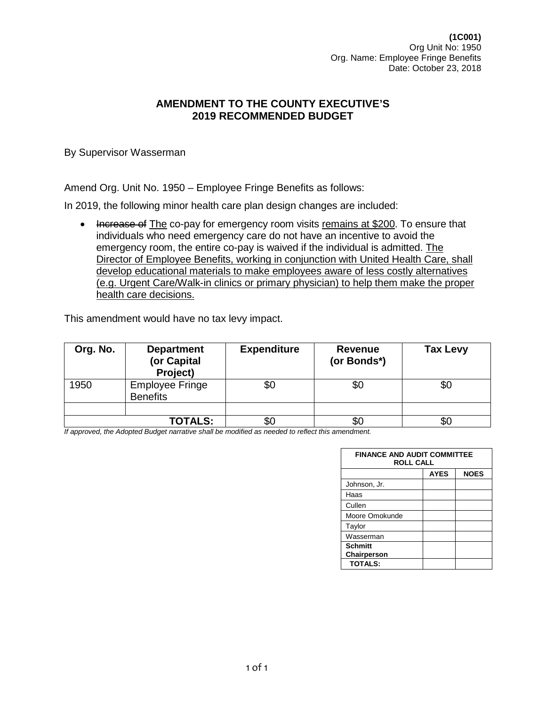**(1C001)** Org Unit No: 1950 Org. Name: Employee Fringe Benefits Date: October 23, 2018

## **AMENDMENT TO THE COUNTY EXECUTIVE'S 2019 RECOMMENDED BUDGET**

By Supervisor Wasserman

Amend Org. Unit No. 1950 – Employee Fringe Benefits as follows:

In 2019, the following minor health care plan design changes are included:

• Increase of The co-pay for emergency room visits remains at \$200. To ensure that individuals who need emergency care do not have an incentive to avoid the emergency room, the entire co-pay is waived if the individual is admitted. The Director of Employee Benefits, working in conjunction with United Health Care, shall develop educational materials to make employees aware of less costly alternatives (e.g. Urgent Care/Walk-in clinics or primary physician) to help them make the proper health care decisions.

This amendment would have no tax levy impact.

| Org. No. | <b>Department</b><br>(or Capital<br>Project) | <b>Expenditure</b> | <b>Revenue</b><br>(or Bonds*) | <b>Tax Levy</b> |
|----------|----------------------------------------------|--------------------|-------------------------------|-----------------|
| 1950     | <b>Employee Fringe</b><br><b>Benefits</b>    | \$0                | \$0                           | \$0             |
|          |                                              |                    |                               |                 |
|          | <b>TOTALS:</b>                               | \$0                |                               |                 |

| <b>FINANCE AND AUDIT COMMITTEE</b><br><b>ROLL CALL</b> |             |             |  |  |
|--------------------------------------------------------|-------------|-------------|--|--|
|                                                        | <b>AYES</b> | <b>NOES</b> |  |  |
| Johnson, Jr.                                           |             |             |  |  |
| Haas                                                   |             |             |  |  |
| Cullen                                                 |             |             |  |  |
| Moore Omokunde                                         |             |             |  |  |
| Taylor                                                 |             |             |  |  |
| Wasserman                                              |             |             |  |  |
| <b>Schmitt</b>                                         |             |             |  |  |
| Chairperson                                            |             |             |  |  |
| <b>TOTALS:</b>                                         |             |             |  |  |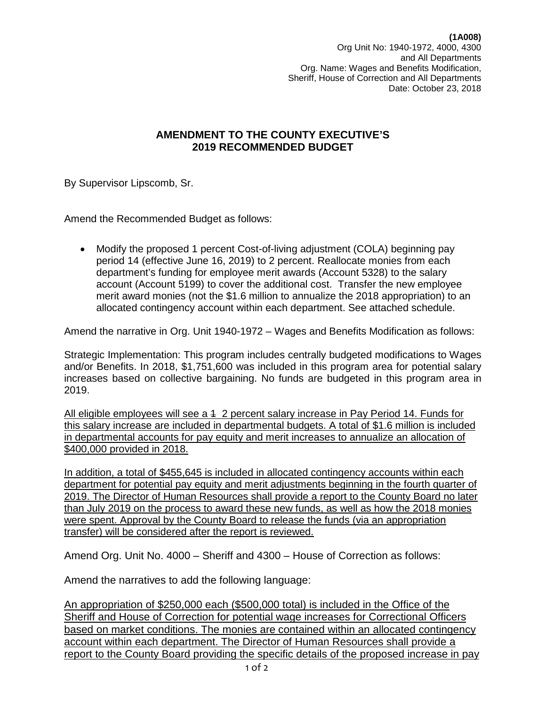**(1A008)** Org Unit No: 1940-1972, 4000, 4300 and All Departments Org. Name: Wages and Benefits Modification, Sheriff, House of Correction and All Departments Date: October 23, 2018

## **AMENDMENT TO THE COUNTY EXECUTIVE'S 2019 RECOMMENDED BUDGET**

By Supervisor Lipscomb, Sr.

Amend the Recommended Budget as follows:

• Modify the proposed 1 percent Cost-of-living adjustment (COLA) beginning pay period 14 (effective June 16, 2019) to 2 percent. Reallocate monies from each department's funding for employee merit awards (Account 5328) to the salary account (Account 5199) to cover the additional cost. Transfer the new employee merit award monies (not the \$1.6 million to annualize the 2018 appropriation) to an allocated contingency account within each department. See attached schedule.

Amend the narrative in Org. Unit 1940-1972 – Wages and Benefits Modification as follows:

Strategic Implementation: This program includes centrally budgeted modifications to Wages and/or Benefits. In 2018, \$1,751,600 was included in this program area for potential salary increases based on collective bargaining. No funds are budgeted in this program area in 2019.

All eligible employees will see a 4 2 percent salary increase in Pay Period 14. Funds for this salary increase are included in departmental budgets. A total of \$1.6 million is included in departmental accounts for pay equity and merit increases to annualize an allocation of \$400,000 provided in 2018.

In addition, a total of \$455,645 is included in allocated contingency accounts within each department for potential pay equity and merit adjustments beginning in the fourth quarter of 2019. The Director of Human Resources shall provide a report to the County Board no later than July 2019 on the process to award these new funds, as well as how the 2018 monies were spent. Approval by the County Board to release the funds (via an appropriation transfer) will be considered after the report is reviewed.

Amend Org. Unit No. 4000 – Sheriff and 4300 – House of Correction as follows:

Amend the narratives to add the following language:

An appropriation of \$250,000 each (\$500,000 total) is included in the Office of the Sheriff and House of Correction for potential wage increases for Correctional Officers based on market conditions. The monies are contained within an allocated contingency account within each department. The Director of Human Resources shall provide a report to the County Board providing the specific details of the proposed increase in pay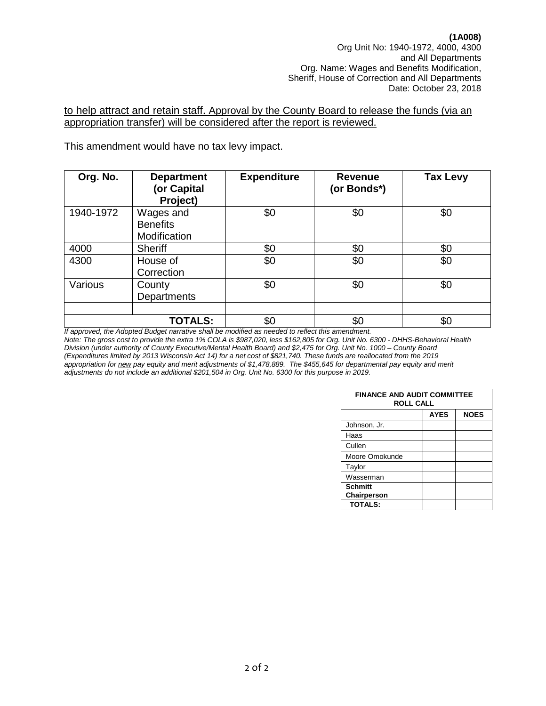#### to help attract and retain staff. Approval by the County Board to release the funds (via an appropriation transfer) will be considered after the report is reviewed.

This amendment would have no tax levy impact.

| Org. No.  | <b>Department</b><br>(or Capital<br>Project) | <b>Expenditure</b> | <b>Revenue</b><br>(or Bonds*) | <b>Tax Levy</b> |
|-----------|----------------------------------------------|--------------------|-------------------------------|-----------------|
| 1940-1972 | Wages and<br><b>Benefits</b><br>Modification | \$0                | \$0                           | \$0             |
| 4000      | <b>Sheriff</b>                               | \$0                | \$0                           | \$0             |
| 4300      | House of<br>Correction                       | \$0                | \$0                           | \$0             |
| Various   | County<br>Departments                        | \$0                | \$0                           | \$0             |
|           |                                              |                    |                               |                 |
|           | <b>TOTALS:</b>                               | \$0                | \$0                           | \$0             |

*If approved, the Adopted Budget narrative shall be modified as needed to reflect this amendment. Note: The gross cost to provide the extra 1% COLA is \$987,020, less \$162,805 for Org. Unit No. 6300 - DHHS-Behavioral Health Division (under authority of County Executive/Mental Health Board) and \$2,475 for Org. Unit No. 1000 – County Board (Expenditures limited by 2013 Wisconsin Act 14) for a net cost of \$821,740. These funds are reallocated from the 2019 appropriation for new pay equity and merit adjustments of \$1,478,889. The \$455,645 for departmental pay equity and merit adjustments do not include an additional \$201,504 in Org. Unit No. 6300 for this purpose in 2019.*

| <b>FINANCE AND AUDIT COMMITTEE</b><br><b>ROLL CALL</b> |             |             |  |  |
|--------------------------------------------------------|-------------|-------------|--|--|
|                                                        | <b>AYES</b> | <b>NOES</b> |  |  |
| Johnson, Jr.                                           |             |             |  |  |
| Haas                                                   |             |             |  |  |
| Cullen                                                 |             |             |  |  |
| Moore Omokunde                                         |             |             |  |  |
| Taylor                                                 |             |             |  |  |
| Wasserman                                              |             |             |  |  |
| <b>Schmitt</b><br>Chairperson                          |             |             |  |  |
| <b>TOTALS:</b>                                         |             |             |  |  |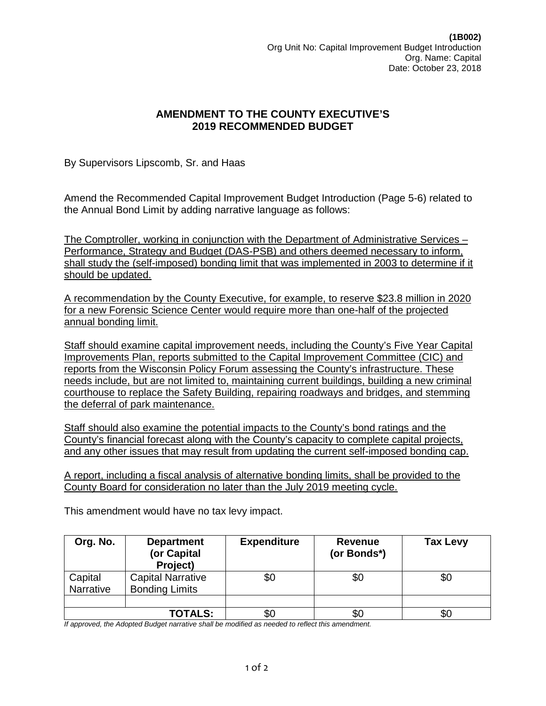By Supervisors Lipscomb, Sr. and Haas

Amend the Recommended Capital Improvement Budget Introduction (Page 5-6) related to the Annual Bond Limit by adding narrative language as follows:

The Comptroller, working in conjunction with the Department of Administrative Services – Performance, Strategy and Budget (DAS-PSB) and others deemed necessary to inform, shall study the (self-imposed) bonding limit that was implemented in 2003 to determine if it should be updated.

A recommendation by the County Executive, for example, to reserve \$23.8 million in 2020 for a new Forensic Science Center would require more than one-half of the projected annual bonding limit.

Staff should examine capital improvement needs, including the County's Five Year Capital Improvements Plan, reports submitted to the Capital Improvement Committee (CIC) and reports from the Wisconsin Policy Forum assessing the County's infrastructure. These needs include, but are not limited to, maintaining current buildings, building a new criminal courthouse to replace the Safety Building, repairing roadways and bridges, and stemming the deferral of park maintenance.

Staff should also examine the potential impacts to the County's bond ratings and the County's financial forecast along with the County's capacity to complete capital projects, and any other issues that may result from updating the current self-imposed bonding cap.

A report, including a fiscal analysis of alternative bonding limits, shall be provided to the County Board for consideration no later than the July 2019 meeting cycle.

This amendment would have no tax levy impact.

| Org. No.             | <b>Department</b><br>(or Capital<br>Project)      | <b>Expenditure</b> | <b>Revenue</b><br>(or Bonds*) | <b>Tax Levy</b> |
|----------------------|---------------------------------------------------|--------------------|-------------------------------|-----------------|
| Capital<br>Narrative | <b>Capital Narrative</b><br><b>Bonding Limits</b> | \$0                | \$0                           | \$0             |
|                      |                                                   |                    |                               |                 |
|                      | <b>TOTALS:</b>                                    | \$0                | \$0                           | \$0             |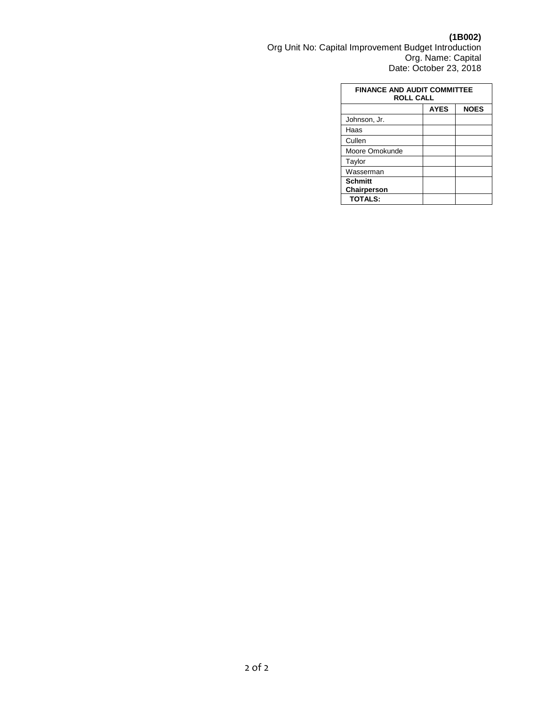**(1B002)** Org Unit No: Capital Improvement Budget Introduction Org. Name: Capital Date: October 23, 2018

| <b>FINANCE AND AUDIT COMMITTEE</b><br><b>ROLL CALL</b> |  |  |  |  |
|--------------------------------------------------------|--|--|--|--|
| <b>NOES</b><br><b>AYES</b>                             |  |  |  |  |
| Johnson, Jr.                                           |  |  |  |  |
| Haas                                                   |  |  |  |  |
| Cullen                                                 |  |  |  |  |
| Moore Omokunde                                         |  |  |  |  |
| Taylor                                                 |  |  |  |  |
| Wasserman                                              |  |  |  |  |
| <b>Schmitt</b>                                         |  |  |  |  |
| Chairperson                                            |  |  |  |  |
| <b>TOTALS:</b>                                         |  |  |  |  |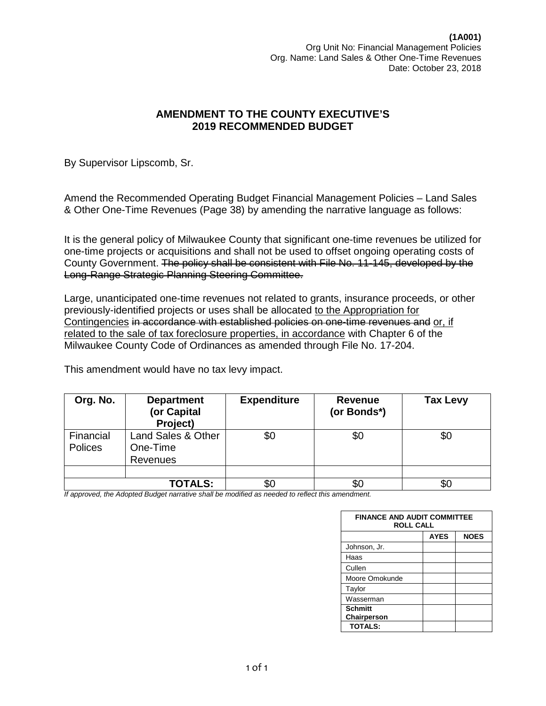By Supervisor Lipscomb, Sr.

Amend the Recommended Operating Budget Financial Management Policies – Land Sales & Other One-Time Revenues (Page 38) by amending the narrative language as follows:

It is the general policy of Milwaukee County that significant one-time revenues be utilized for one-time projects or acquisitions and shall not be used to offset ongoing operating costs of County Government. The policy shall be consistent with File No. 11-145, developed by the Long-Range Strategic Planning Steering Committee.

Large, unanticipated one-time revenues not related to grants, insurance proceeds, or other previously-identified projects or uses shall be allocated to the Appropriation for Contingencies in accordance with established policies on one-time revenues and or, if related to the sale of tax foreclosure properties, in accordance with Chapter 6 of the Milwaukee County Code of Ordinances as amended through File No. 17-204.

This amendment would have no tax levy impact.

| Org. No.                    | <b>Department</b><br>(or Capital<br>Project) | <b>Expenditure</b> | <b>Revenue</b><br>(or Bonds*) | <b>Tax Levy</b> |
|-----------------------------|----------------------------------------------|--------------------|-------------------------------|-----------------|
| Financial<br><b>Polices</b> | Land Sales & Other<br>One-Time<br>Revenues   | \$0                | \$0                           | \$0             |
|                             |                                              |                    |                               |                 |
|                             | <b>TOTALS:</b>                               | \$0                | \$0                           | \$С             |

| <b>FINANCE AND AUDIT COMMITTEE</b><br><b>ROLL CALL</b> |             |             |  |  |
|--------------------------------------------------------|-------------|-------------|--|--|
|                                                        | <b>AYES</b> | <b>NOES</b> |  |  |
| Johnson, Jr.                                           |             |             |  |  |
| Haas                                                   |             |             |  |  |
| Cullen                                                 |             |             |  |  |
| Moore Omokunde                                         |             |             |  |  |
| Taylor                                                 |             |             |  |  |
| Wasserman                                              |             |             |  |  |
| <b>Schmitt</b>                                         |             |             |  |  |
| Chairperson                                            |             |             |  |  |
| <b>TOTALS:</b>                                         |             |             |  |  |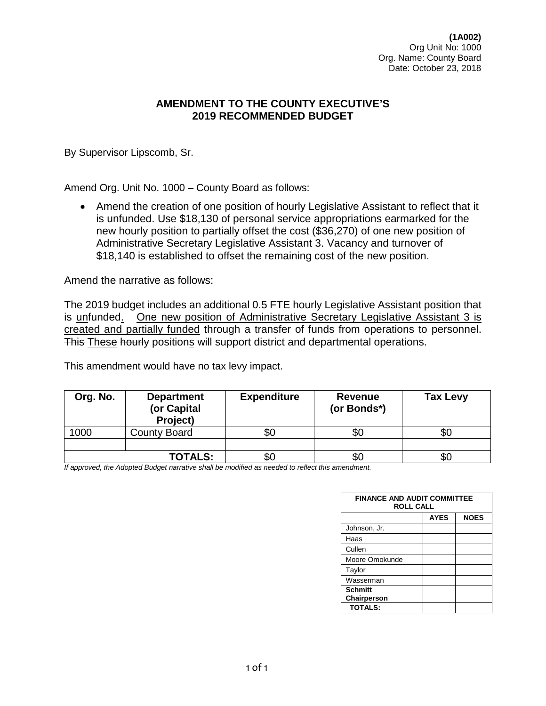**(1A002)** Org Unit No: 1000 Org. Name: County Board Date: October 23, 2018

## **AMENDMENT TO THE COUNTY EXECUTIVE'S 2019 RECOMMENDED BUDGET**

By Supervisor Lipscomb, Sr.

Amend Org. Unit No. 1000 – County Board as follows:

• Amend the creation of one position of hourly Legislative Assistant to reflect that it is unfunded. Use \$18,130 of personal service appropriations earmarked for the new hourly position to partially offset the cost (\$36,270) of one new position of Administrative Secretary Legislative Assistant 3. Vacancy and turnover of \$18,140 is established to offset the remaining cost of the new position.

Amend the narrative as follows:

The 2019 budget includes an additional 0.5 FTE hourly Legislative Assistant position that is unfunded. One new position of Administrative Secretary Legislative Assistant 3 is created and partially funded through a transfer of funds from operations to personnel. This These hourly positions will support district and departmental operations.

This amendment would have no tax levy impact.

| Org. No. | <b>Department</b><br>(or Capital<br>Project) | <b>Expenditure</b> | Revenue<br>(or Bonds*) | <b>Tax Levy</b> |
|----------|----------------------------------------------|--------------------|------------------------|-----------------|
| 1000     | <b>County Board</b>                          | \$0                | æО                     | \$0             |
|          |                                              |                    |                        |                 |
|          | <b>TOTALS:</b>                               | \$0                | æп                     | \$0             |

| <b>FINANCE AND AUDIT COMMITTEE</b><br><b>ROLL CALL</b> |             |             |  |  |
|--------------------------------------------------------|-------------|-------------|--|--|
|                                                        | <b>AYES</b> | <b>NOES</b> |  |  |
| Johnson, Jr.                                           |             |             |  |  |
| Haas                                                   |             |             |  |  |
| Cullen                                                 |             |             |  |  |
| Moore Omokunde                                         |             |             |  |  |
| Taylor                                                 |             |             |  |  |
| Wasserman                                              |             |             |  |  |
| <b>Schmitt</b>                                         |             |             |  |  |
| Chairperson                                            |             |             |  |  |
| <b>TOTALS:</b>                                         |             |             |  |  |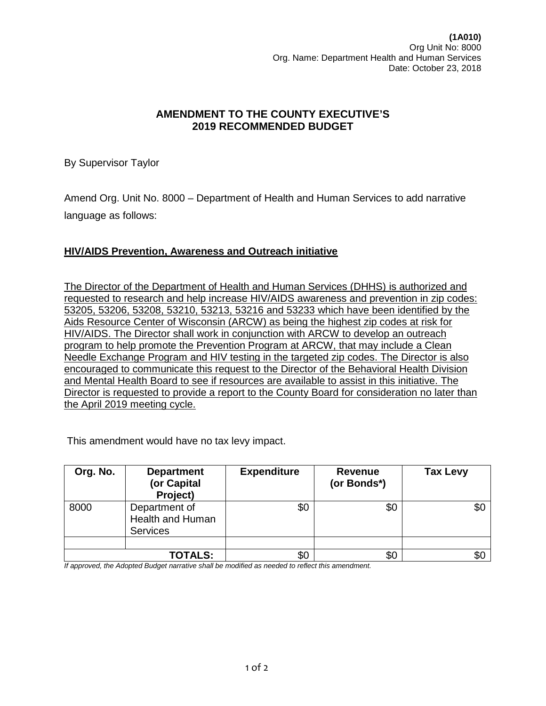**(1A010)** Org Unit No: 8000 Org. Name: Department Health and Human Services Date: October 23, 2018

# **AMENDMENT TO THE COUNTY EXECUTIVE'S 2019 RECOMMENDED BUDGET**

By Supervisor Taylor

Amend Org. Unit No. 8000 – Department of Health and Human Services to add narrative language as follows:

#### **HIV/AIDS Prevention, Awareness and Outreach initiative**

The Director of the Department of Health and Human Services (DHHS) is authorized and requested to research and help increase HIV/AIDS awareness and prevention in zip codes: 53205, 53206, 53208, 53210, 53213, 53216 and 53233 which have been identified by the Aids Resource Center of Wisconsin (ARCW) as being the highest zip codes at risk for HIV/AIDS. The Director shall work in conjunction with ARCW to develop an outreach program to help promote the Prevention Program at ARCW, that may include a Clean Needle Exchange Program and HIV testing in the targeted zip codes. The Director is also encouraged to communicate this request to the Director of the Behavioral Health Division and Mental Health Board to see if resources are available to assist in this initiative. The Director is requested to provide a report to the County Board for consideration no later than the April 2019 meeting cycle.

This amendment would have no tax levy impact.

| Org. No. | <b>Department</b><br>(or Capital<br>Project)         | <b>Expenditure</b> | <b>Revenue</b><br>(or Bonds*) | <b>Tax Levy</b> |
|----------|------------------------------------------------------|--------------------|-------------------------------|-----------------|
| 8000     | Department of<br>Health and Human<br><b>Services</b> | \$0                | \$0                           | \$0             |
|          |                                                      |                    |                               |                 |
|          | <b>TOTALS:</b>                                       | \$0                | \$0                           | \$(             |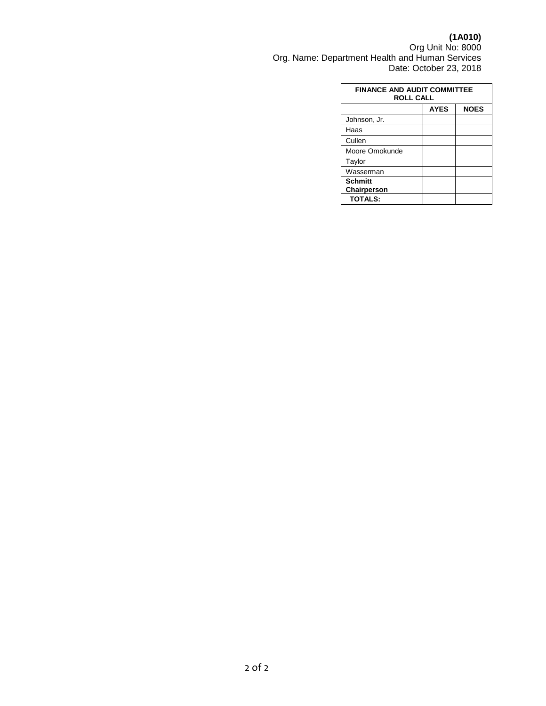**(1A010)**

Org Unit No: 8000 Org. Name: Department Health and Human Services Date: October 23, 2018

| <b>FINANCE AND AUDIT COMMITTEE</b><br><b>ROLL CALL</b> |             |             |  |  |
|--------------------------------------------------------|-------------|-------------|--|--|
|                                                        | <b>AYES</b> | <b>NOES</b> |  |  |
| Johnson, Jr.                                           |             |             |  |  |
| Haas                                                   |             |             |  |  |
| Cullen                                                 |             |             |  |  |
| Moore Omokunde                                         |             |             |  |  |
| Taylor                                                 |             |             |  |  |
| Wasserman                                              |             |             |  |  |
| <b>Schmitt</b>                                         |             |             |  |  |
| Chairperson                                            |             |             |  |  |
| <b>TOTALS:</b>                                         |             |             |  |  |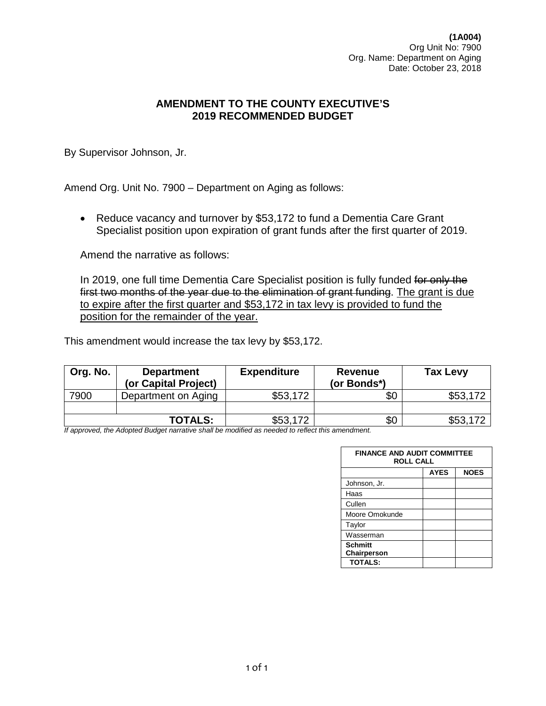**(1A004)** Org Unit No: 7900 Org. Name: Department on Aging Date: October 23, 2018

## **AMENDMENT TO THE COUNTY EXECUTIVE'S 2019 RECOMMENDED BUDGET**

By Supervisor Johnson, Jr.

Amend Org. Unit No. 7900 – Department on Aging as follows:

• Reduce vacancy and turnover by \$53,172 to fund a Dementia Care Grant Specialist position upon expiration of grant funds after the first quarter of 2019.

Amend the narrative as follows:

In 2019, one full time Dementia Care Specialist position is fully funded for only the first two months of the year due to the elimination of grant funding. The grant is due to expire after the first quarter and \$53,172 in tax levy is provided to fund the position for the remainder of the year.

This amendment would increase the tax levy by \$53,172.

| Org. No. | <b>Department</b><br>(or Capital Project) | <b>Expenditure</b> | <b>Revenue</b><br>(or Bonds*) | <b>Tax Levy</b> |
|----------|-------------------------------------------|--------------------|-------------------------------|-----------------|
| 7900     | Department on Aging                       | \$53,172           | \$0                           | \$53,172        |
|          |                                           |                    |                               |                 |
|          | <b>TOTALS:</b>                            | \$53,172           | \$0                           | \$53,172        |

| <b>FINANCE AND AUDIT COMMITTEE</b><br><b>ROLL CALL</b> |             |             |  |  |
|--------------------------------------------------------|-------------|-------------|--|--|
|                                                        | <b>AYES</b> | <b>NOES</b> |  |  |
| Johnson, Jr.                                           |             |             |  |  |
| Haas                                                   |             |             |  |  |
| Cullen                                                 |             |             |  |  |
| Moore Omokunde                                         |             |             |  |  |
| Taylor                                                 |             |             |  |  |
| Wasserman                                              |             |             |  |  |
| <b>Schmitt</b><br>Chairperson                          |             |             |  |  |
| <b>TOTALS:</b>                                         |             |             |  |  |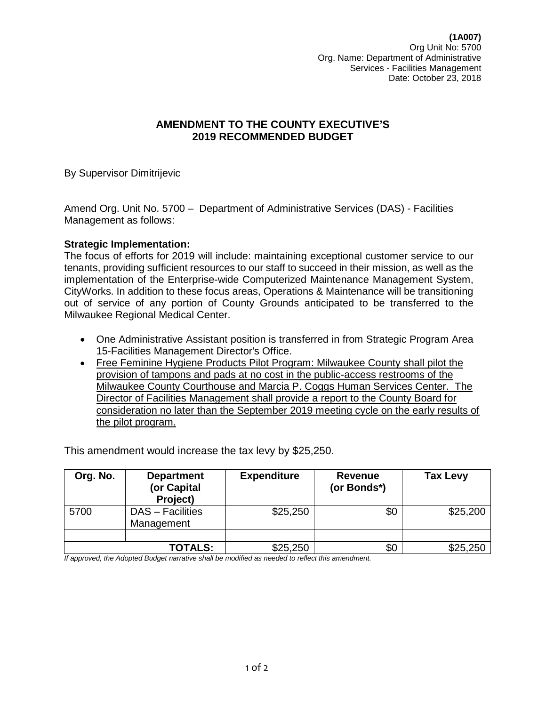**(1A007)** Org Unit No: 5700 Org. Name: Department of Administrative Services - Facilities Management Date: October 23, 2018

## **AMENDMENT TO THE COUNTY EXECUTIVE'S 2019 RECOMMENDED BUDGET**

By Supervisor Dimitrijevic

Amend Org. Unit No. 5700 – Department of Administrative Services (DAS) - Facilities Management as follows:

#### **Strategic Implementation:**

The focus of efforts for 2019 will include: maintaining exceptional customer service to our tenants, providing sufficient resources to our staff to succeed in their mission, as well as the implementation of the Enterprise-wide Computerized Maintenance Management System, CityWorks. In addition to these focus areas, Operations & Maintenance will be transitioning out of service of any portion of County Grounds anticipated to be transferred to the Milwaukee Regional Medical Center.

- One Administrative Assistant position is transferred in from Strategic Program Area 15-Facilities Management Director's Office.
- Free Feminine Hygiene Products Pilot Program: Milwaukee County shall pilot the provision of tampons and pads at no cost in the public-access restrooms of the Milwaukee County Courthouse and Marcia P. Coggs Human Services Center. The Director of Facilities Management shall provide a report to the County Board for consideration no later than the September 2019 meeting cycle on the early results of the pilot program.

This amendment would increase the tax levy by \$25,250.

| Org. No. | <b>Department</b><br>(or Capital<br>Project) | <b>Expenditure</b> | Revenue<br>(or Bonds*) | <b>Tax Levy</b> |
|----------|----------------------------------------------|--------------------|------------------------|-----------------|
| 5700     | DAS - Facilities<br>Management               | \$25,250           | \$0                    | \$25,200        |
|          |                                              |                    |                        |                 |
|          | <b>TOTALS:</b>                               | \$25,250           | \$0                    | \$25,250        |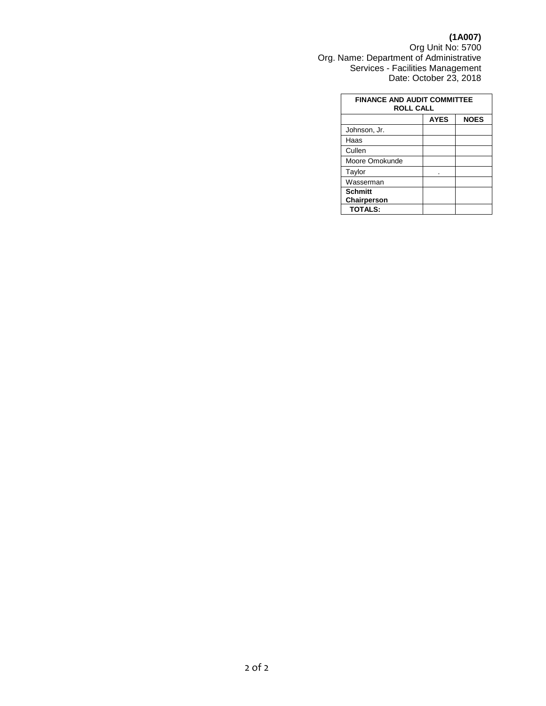#### **(1A007)**

Org Unit No: 5700 Org. Name: Department of Administrative Services - Facilities Management Date: October 23, 2018

| <b>FINANCE AND AUDIT COMMITTEE</b><br><b>ROLL CALL</b> |             |             |  |  |
|--------------------------------------------------------|-------------|-------------|--|--|
|                                                        | <b>AYES</b> | <b>NOES</b> |  |  |
| Johnson, Jr.                                           |             |             |  |  |
| Haas                                                   |             |             |  |  |
| Cullen                                                 |             |             |  |  |
| Moore Omokunde                                         |             |             |  |  |
| Taylor                                                 |             |             |  |  |
| Wasserman                                              |             |             |  |  |
| <b>Schmitt</b><br>Chairperson                          |             |             |  |  |
| <b>TOTALS:</b>                                         |             |             |  |  |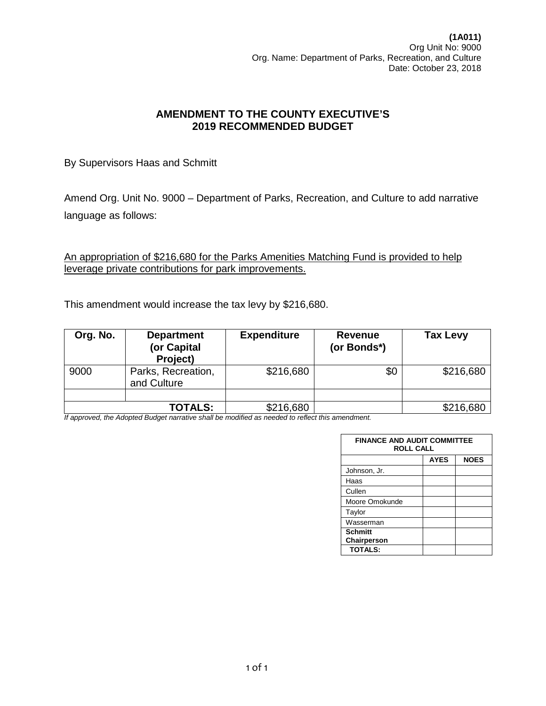By Supervisors Haas and Schmitt

Amend Org. Unit No. 9000 – Department of Parks, Recreation, and Culture to add narrative language as follows:

An appropriation of \$216,680 for the Parks Amenities Matching Fund is provided to help leverage private contributions for park improvements.

This amendment would increase the tax levy by \$216,680.

| Org. No. | <b>Department</b><br>(or Capital<br>Project) | <b>Expenditure</b> | <b>Revenue</b><br>(or Bonds*) | <b>Tax Levy</b> |
|----------|----------------------------------------------|--------------------|-------------------------------|-----------------|
| 9000     | Parks, Recreation,<br>and Culture            | \$216,680          | \$0                           | \$216,680       |
|          |                                              |                    |                               |                 |
|          | <b>TOTALS:</b>                               | \$216,680          |                               | \$216,680       |

| <b>FINANCE AND AUDIT COMMITTEE</b><br><b>ROLL CALL</b> |             |             |  |  |
|--------------------------------------------------------|-------------|-------------|--|--|
|                                                        | <b>AYES</b> | <b>NOES</b> |  |  |
| Johnson, Jr.                                           |             |             |  |  |
| Haas                                                   |             |             |  |  |
| Cullen                                                 |             |             |  |  |
| Moore Omokunde                                         |             |             |  |  |
| Taylor                                                 |             |             |  |  |
| Wasserman                                              |             |             |  |  |
| <b>Schmitt</b>                                         |             |             |  |  |
| Chairperson                                            |             |             |  |  |
| <b>TOTALS:</b>                                         |             |             |  |  |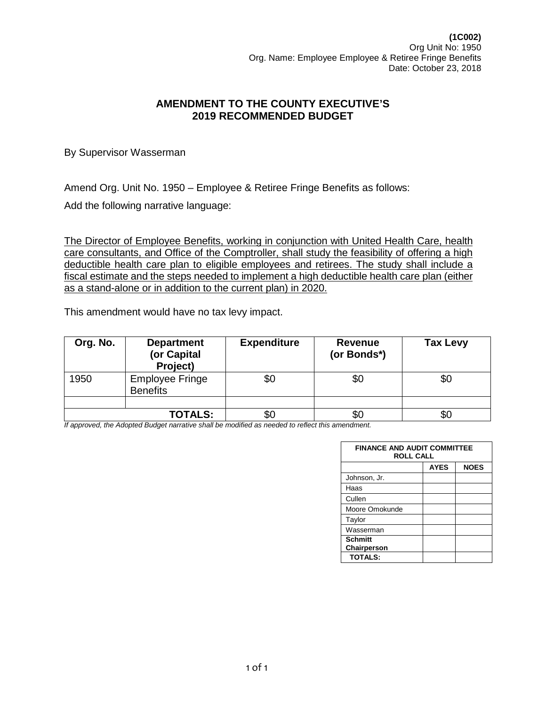By Supervisor Wasserman

Amend Org. Unit No. 1950 – Employee & Retiree Fringe Benefits as follows:

Add the following narrative language:

The Director of Employee Benefits, working in conjunction with United Health Care, health care consultants, and Office of the Comptroller, shall study the feasibility of offering a high deductible health care plan to eligible employees and retirees. The study shall include a fiscal estimate and the steps needed to implement a high deductible health care plan (either as a stand-alone or in addition to the current plan) in 2020.

This amendment would have no tax levy impact.

| Org. No. | <b>Department</b><br>(or Capital<br>Project) | <b>Expenditure</b> | <b>Revenue</b><br>(or Bonds*) | <b>Tax Levy</b> |
|----------|----------------------------------------------|--------------------|-------------------------------|-----------------|
| 1950     | <b>Employee Fringe</b><br><b>Benefits</b>    | \$0                | \$0                           | \$0             |
|          |                                              |                    |                               |                 |
|          | <b>TOTALS:</b>                               | \$0                | JŒ.                           |                 |

| <b>FINANCE AND AUDIT COMMITTEE</b><br><b>ROLL CALL</b> |             |             |  |  |
|--------------------------------------------------------|-------------|-------------|--|--|
|                                                        | <b>AYES</b> | <b>NOES</b> |  |  |
| Johnson, Jr.                                           |             |             |  |  |
| Haas                                                   |             |             |  |  |
| Cullen                                                 |             |             |  |  |
| Moore Omokunde                                         |             |             |  |  |
| Taylor                                                 |             |             |  |  |
| Wasserman                                              |             |             |  |  |
| <b>Schmitt</b><br>Chairperson                          |             |             |  |  |
| <b>TOTALS:</b>                                         |             |             |  |  |